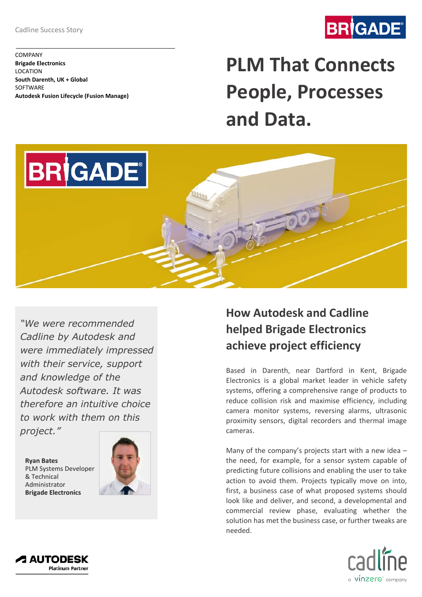# **BR***GADE*®

COMPANY **Brigade Electronics** LOCATION **South Darenth, UK + Global SOFTWARE Autodesk Fusion Lifecycle (Fusion Manage)**

# **PLM That Connects People, Processes and Data.**



*"We were recommended Cadline by Autodesk and were immediately impressed with their service, support and knowledge of the Autodesk software. It was therefore an intuitive choice to work with them on this project."*

**Ryan Bates** PLM Systems Developer & Technical Administrator **Brigade Electronics**



# **How Autodesk and Cadline helped Brigade Electronics achieve project efficiency**

Based in Darenth, near Dartford in Kent, Brigade Electronics is a global market leader in vehicle safety systems, offering a comprehensive range of products to reduce collision risk and maximise efficiency, including camera monitor systems, reversing alarms, ultrasonic proximity sensors, digital recorders and thermal image cameras.

Many of the company's projects start with a new idea – the need, for example, for a sensor system capable of predicting future collisions and enabling the user to take action to avoid them. Projects typically move on into, first, a business case of what proposed systems should look like and deliver, and second, a developmental and commercial review phase, evaluating whether the solution has met the business case, or further tweaks are needed.



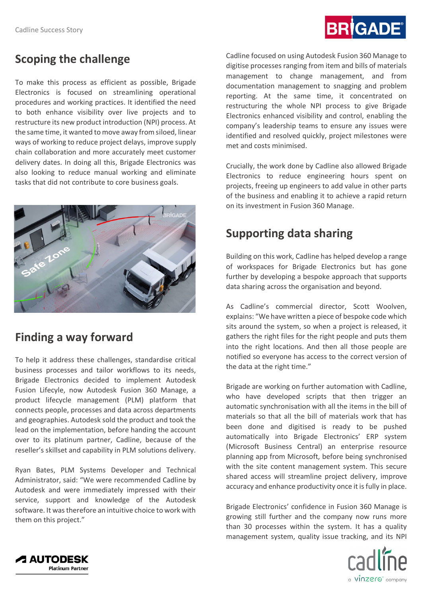# **BRIGADE®**

## **Scoping the challenge**

To make this process as efficient as possible, Brigade Electronics is focused on streamlining operational procedures and working practices. It identified the need to both enhance visibility over live projects and to restructure its new product introduction (NPI) process. At the same time, it wanted to move away from siloed, linear ways of working to reduce project delays, improve supply chain collaboration and more accurately meet customer delivery dates. In doing all this, Brigade Electronics was also looking to reduce manual working and eliminate tasks that did not contribute to core business goals.



## **Finding a way forward**

To help it address these challenges, standardise critical business processes and tailor workflows to its needs, Brigade Electronics decided to implement Autodesk Fusion Lifecyle, now Autodesk Fusion 360 Manage, a product lifecycle management (PLM) platform that connects people, processes and data across departments and geographies. Autodesk sold the product and took the lead on the implementation, before handing the account over to its platinum partner, Cadline, because of the reseller's skillset and capability in PLM solutions delivery.

Ryan Bates, PLM Systems Developer and Technical Administrator, said: "We were recommended Cadline by Autodesk and were immediately impressed with their service, support and knowledge of the Autodesk software. It was therefore an intuitive choice to work with them on this project."

Cadline focused on using Autodesk Fusion 360 Manage to digitise processes ranging from item and bills of materials management to change management, and from documentation management to snagging and problem reporting. At the same time, it concentrated on restructuring the whole NPI process to give Brigade Electronics enhanced visibility and control, enabling the company's leadership teams to ensure any issues were identified and resolved quickly, project milestones were met and costs minimised.

Crucially, the work done by Cadline also allowed Brigade Electronics to reduce engineering hours spent on projects, freeing up engineers to add value in other parts of the business and enabling it to achieve a rapid return on its investment in Fusion 360 Manage.

## **Supporting data sharing**

Building on this work, Cadline has helped develop a range of workspaces for Brigade Electronics but has gone further by developing a bespoke approach that supports data sharing across the organisation and beyond.

As Cadline's commercial director, Scott Woolven, explains: "We have written a piece of bespoke code which sits around the system, so when a project is released, it gathers the right files for the right people and puts them into the right locations. And then all those people are notified so everyone has access to the correct version of the data at the right time."

Brigade are working on further automation with Cadline, who have developed scripts that then trigger an automatic synchronisation with all the items in the bill of materials so that all the bill of materials work that has been done and digitised is ready to be pushed automatically into Brigade Electronics' ERP system (Microsoft Business Central) an enterprise resource planning app from Microsoft, before being synchronised with the site content management system. This secure shared access will streamline project delivery, improve accuracy and enhance productivity once it is fully in place.

Brigade Electronics' confidence in Fusion 360 Manage is growing still further and the company now runs more than 30 processes within the system. It has a quality management system, quality issue tracking, and its NPI